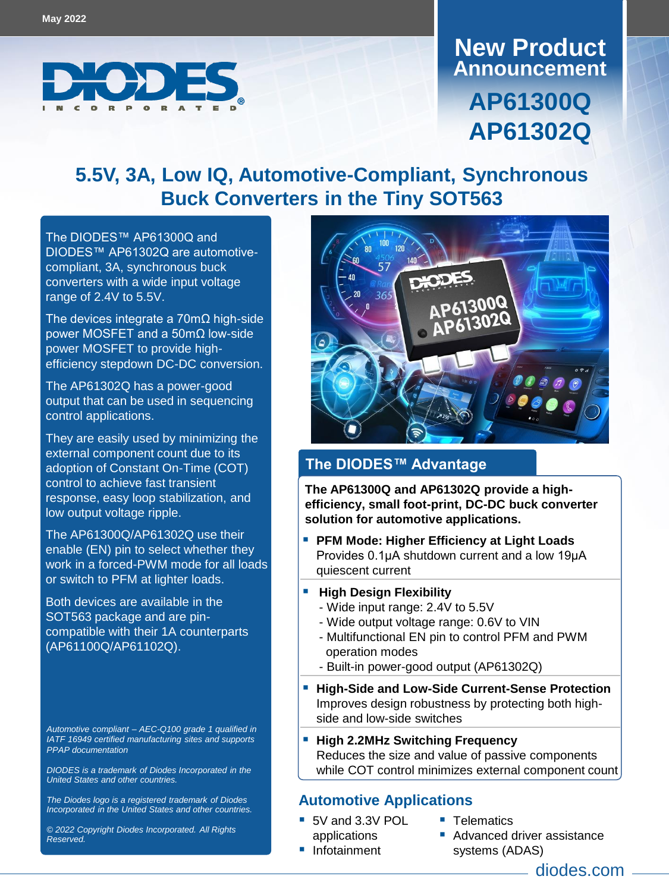

# **Announcement New Product AP61300Q AP61302Q**

### **5.5V, 3A, Low IQ, Automotive-Compliant, Synchronous Buck Converters in the Tiny SOT563**

The DIODES™ [AP61300Q](https://www.diodes.com/part/AP61300Q/) and [DIODES™](https://www.diodes.com/part/AP61302Q/) AP61302Q are automotivecompliant, 3A, synchronous buck converters with a wide input voltage range of 2.4V to 5.5V.

The devices integrate a 70mΩ high-side power MOSFET and a 50mΩ low-side power MOSFET to provide highefficiency stepdown DC-DC conversion.

The AP61302Q has a power-good output that can be used in sequencing control applications.

They are easily used by minimizing the external component count due to its adoption of Constant On-Time (COT) control to achieve fast transient response, easy loop stabilization, and low output voltage ripple.

The AP61300Q/AP61302Q use their enable (EN) pin to select whether they work in a forced-PWM mode for all loads or switch to PFM at lighter loads.

Both devices are available in the SOT563 package and are pincompatible with their 1A counterparts (AP61100Q/AP61102Q).

*Automotive compliant – AEC-Q100 grade 1 qualified in IATF 16949 certified manufacturing sites and supports PPAP documentation*

*DIODES is a trademark of Diodes Incorporated in the United States and other countries.*

*The Diodes logo is a registered trademark of Diodes Incorporated in the United States and other countries.*

*© 2022 Copyright Diodes Incorporated. All Rights Reserved.*



#### **The DIODES™ Advantage**

**The AP61300Q and AP61302Q provide a highefficiency, small foot-print, DC-DC buck converter solution for automotive applications.**

 **PFM Mode: Higher Efficiency at Light Loads** Provides 0.1μA shutdown current and a low 19μA quiescent current

#### **High Design Flexibility**

- Wide input range: 2.4V to 5.5V
- Wide output voltage range: 0.6V to VIN
- Multifunctional EN pin to control PFM and PWM operation modes
- Built-in power-good output (AP61302Q)
- **High-Side and Low-Side Current-Sense Protection** Improves design robustness by protecting both highside and low-side switches
- **High 2.2MHz Switching Frequency** Reduces the size and value of passive components while COT control minimizes external component count

#### **Automotive Applications**

 5V and 3.3V POL applications

**Infotainment** 

- **Telematics** 
	- Advanced driver assistance systems (ADAS)

diodes.com